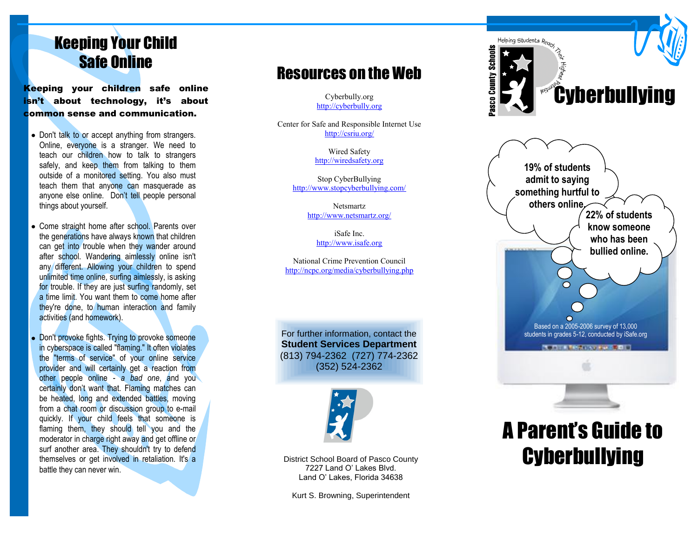# Keeping Your Child Safe Online

Keeping your children safe online isn't about technology, it's about common sense and communication.

- Don't talk to or accept anything from strangers. Online, everyone is a stranger. We need to teach our children how to talk to strangers safely, and keep them from talking to them outside of a monitored setting. You also must teach them that anyone can masquerade as anyone else online. Don't tell people personal things about yourself.
- Come straight home after school. Parents over the generations have always known that children can get into trouble when they wander around after school. Wandering aimlessly online isn't any different. Allowing your children to spend unlimited time online, surfing aimlessly, is asking for trouble. If they are just surfing randomly, set a time limit. You want them to come home after they're done, to human interaction and family activities (and homework).
- Don't provoke fights. Trying to provoke someone in cyberspace is called "flaming." It often violates the "terms of service" of your online service provider and will certainly get a reaction from other people online - *a bad one*, and you certainly don't want that. Flaming matches can be heated, long and extended battles, moving from a chat room or discussion group to e-mail quickly. If your child feels that someone is flaming them, they should tell you and the moderator in charge right away and get offline or surf another area. They shouldn't try to defend themselves or get involved in retaliation. It's a battle they can never win.

## Resources on the Web

Cyberbully.org [http://cyberbully.org](http://cyberbully.org/)

Center for Safe and Responsible Internet Use <http://csriu.org/>

> Wired Safety [http://wiredsafety.org](http://wiredsafety.org/)

Stop CyberBullying <http://www.stopcyberbullying.com/>

> Netsmartz <http://www.netsmartz.org/>

> > iSafe Inc. [http://www.isafe.org](http://www.isafe.org/)

National Crime Prevention Council <http://ncpc.org/media/cyberbullying.php>

For further information, contact the **Student Services Department**  (813) 794 -2362 (727) 774 -2362 (352) 524 -2362



District School Board of Pasco County 7227 Land O' Lakes Blvd. Land O' Lakes, Florida 34638

Kurt S. Browning, Superintendent





# A Parent's Guide to **Cyberbullying**